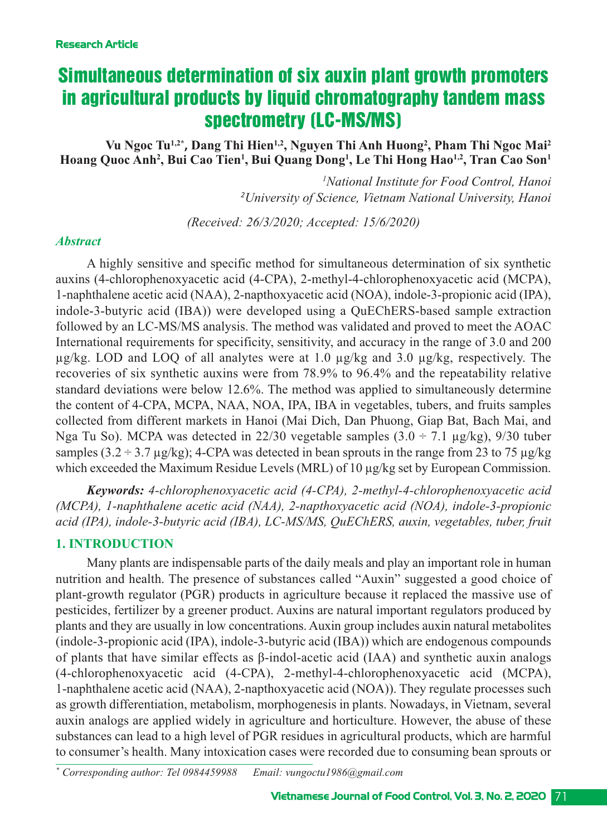# Simultaneous determination of six auxin plant growth promoters in agricultural products by liquid chromatography tandem mass spectrometry (LC-MS/MS)

Vu Ngoc Tu<sup>1,2\*</sup>, Dang Thi Hien<sup>1,2</sup>, Nguyen Thi Anh Huong<sup>2</sup>, Pham Thi Ngoc Mai<sup>2</sup> **Hoang Quoc Anh2 , Bui Cao Tien1 , Bui Quang Dong1 , Le Thi Hong Hao1,2, Tran Cao Son1**

> *1 National Institute for Food Control, Hanoi 2 University of Science, Vietnam National University, Hanoi*

*(Received: 26/3/2020; Accepted: 15/6/2020)*

#### *Abstract*

A highly sensitive and specific method for simultaneous determination of six synthetic auxins (4-chlorophenoxyacetic acid (4-CPA), 2-methyl-4-chlorophenoxyacetic acid (MCPA), 1-naphthalene acetic acid (NAA), 2-napthoxyacetic acid (NOA), indole-3-propionic acid (IPA), indole-3-butyric acid (IBA)) were developed using a QuEChERS-based sample extraction followed by an LC-MS/MS analysis. The method was validated and proved to meet the AOAC International requirements for specificity, sensitivity, and accuracy in the range of 3.0 and 200 µg/kg. LOD and LOQ of all analytes were at 1.0 µg/kg and 3.0 µg/kg, respectively. The recoveries of six synthetic auxins were from 78.9% to 96.4% and the repeatability relative standard deviations were below 12.6%. The method was applied to simultaneously determine the content of 4CPA, MCPA, NAA, NOA, IPA, IBA in vegetables, tubers, and fruits samples collected from different markets in Hanoi (Mai Dich, Dan Phuong, Giap Bat, Bach Mai, and Nga Tu So). MCPA was detected in 22/30 vegetable samples  $(3.0 \div 7.1 \text{ µg/kg})$ , 9/30 tuber samples (3.2 ÷ 3.7 µg/kg); 4-CPA was detected in bean sprouts in the range from 23 to 75 µg/kg which exceeded the Maximum Residue Levels (MRL) of 10  $\mu$ g/kg set by European Commission.

*Keywords: 4chlorophenoxyacetic acid (4CPA), 2methyl4chlorophenoxyacetic acid (MCPA), 1-naphthalene acetic acid (NAA), 2-napthoxyacetic acid (NOA), indole-3-propionic* acid (IPA), indole-3-butyric acid (IBA), LC-MS/MS, QuEChERS, auxin, vegetables, tuber, fruit

# **1. INTRODUCTION**

Many plants are indispensable parts of the daily meals and play an important role in human nutrition and health. The presence of substances called "Auxin" suggested a good choice of plant-growth regulator (PGR) products in agriculture because it replaced the massive use of pesticides, fertilizer by a greener product. Auxins are natural important regulators produced by plants and they are usually in low concentrations. Auxin group includes auxin natural metabolites  $(indole-3-propionic acid (IPA), indole-3-butyric acid (IBA)) which are endogenous compounds$ of plants that have similar effects as  $\beta$ -indol-acetic acid (IAA) and synthetic auxin analogs  $(4$ -chlorophenoxyacetic acid  $(4$ -CPA), 2-methyl-4-chlorophenoxyacetic acid  $(MCPA)$ , 1-naphthalene acetic acid (NAA), 2-napthoxyacetic acid (NOA)). They regulate processes such as growth differentiation, metabolism, morphogenesis in plants. Nowadays, in Vietnam, several auxin analogs are applied widely in agriculture and horticulture. However, the abuse of these substances can lead to a high level of PGR residues in agricultural products, which are harmful to consumer's health. Many intoxication cases were recorded due to consuming bean sprouts or

*\* Corresponding author: Tel 0984459988 Email: vungoctu1986@gmail.com*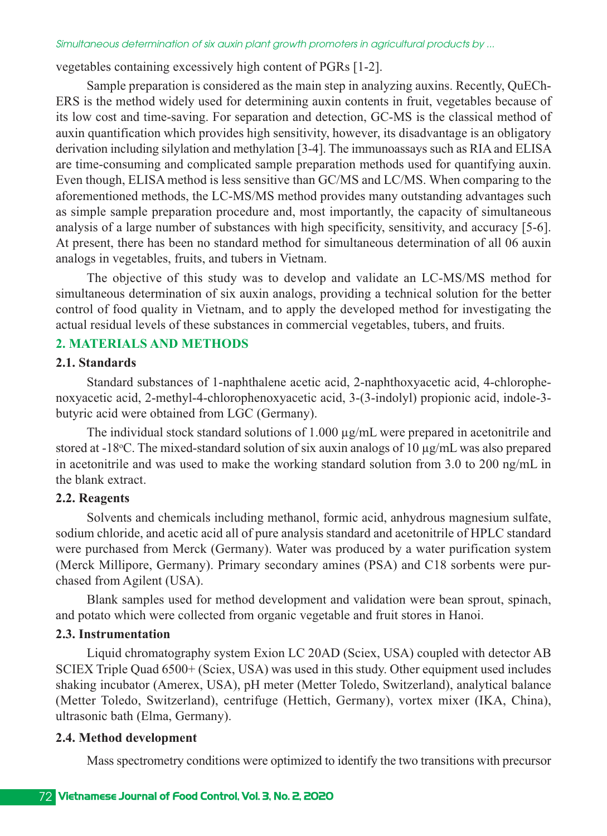vegetables containing excessively high content of PGRs [12].

Sample preparation is considered as the main step in analyzing auxins. Recently, QuECh-ERS is the method widely used for determining auxin contents in fruit, vegetables because of its low cost and time-saving. For separation and detection, GC-MS is the classical method of auxin quantification which provides high sensitivity, however, its disadvantage is an obligatory derivation including silylation and methylation [3-4]. The immunoassays such as RIA and ELISA are time-consuming and complicated sample preparation methods used for quantifying auxin. Even though, ELISA method is less sensitive than GC/MS and LC/MS. When comparing to the aforementioned methods, the LC-MS/MS method provides many outstanding advantages such as simple sample preparation procedure and, most importantly, the capacity of simultaneous analysis of a large number of substances with high specificity, sensitivity, and accuracy [5-6]. At present, there has been no standard method for simultaneous determination of all 06 auxin analogs in vegetables, fruits, and tubers in Vietnam.

The objective of this study was to develop and validate an LC-MS/MS method for simultaneous determination of six auxin analogs, providing a technical solution for the better control of food quality in Vietnam, and to apply the developed method for investigating the actual residual levels of these substances in commercial vegetables, tubers, and fruits.

# **2. MATERIALS AND METHODS**

#### **2.1. Standards**

Standard substances of 1-naphthalene acetic acid, 2-naphthoxyacetic acid, 4-chlorophenoxyacetic acid, 2-methyl-4-chlorophenoxyacetic acid, 3-(3-indolyl) propionic acid, indole-3butyric acid were obtained from LGC (Germany).

The individual stock standard solutions of 1.000  $\mu$ g/mL were prepared in acetonitrile and stored at -18°C. The mixed-standard solution of six auxin analogs of 10  $\mu$ g/mL was also prepared in acetonitrile and was used to make the working standard solution from 3.0 to 200 ng/mL in the blank extract.

# **2.2. Reagents**

Solvents and chemicals including methanol, formic acid, anhydrous magnesium sulfate, sodium chloride, and acetic acid all of pure analysis standard and acetonitrile of HPLC standard were purchased from Merck (Germany). Water was produced by a water purification system (Merck Millipore, Germany). Primary secondary amines (PSA) and C18 sorbents were purchased from Agilent (USA).

Blank samples used for method development and validation were bean sprout, spinach, and potato which were collected from organic vegetable and fruit stores in Hanoi.

# **2.3. Instrumentation**

Liquid chromatography system Exion LC 20AD (Sciex, USA) coupled with detector AB SCIEX Triple Quad 6500+ (Sciex, USA) was used in this study. Other equipment used includes shaking incubator (Amerex, USA), pH meter (Metter Toledo, Switzerland), analytical balance (Metter Toledo, Switzerland), centrifuge (Hettich, Germany), vortex mixer (IKA, China), ultrasonic bath (Elma, Germany).

# **2.4. Method development**

Mass spectrometry conditions were optimized to identify the two transitions with precursor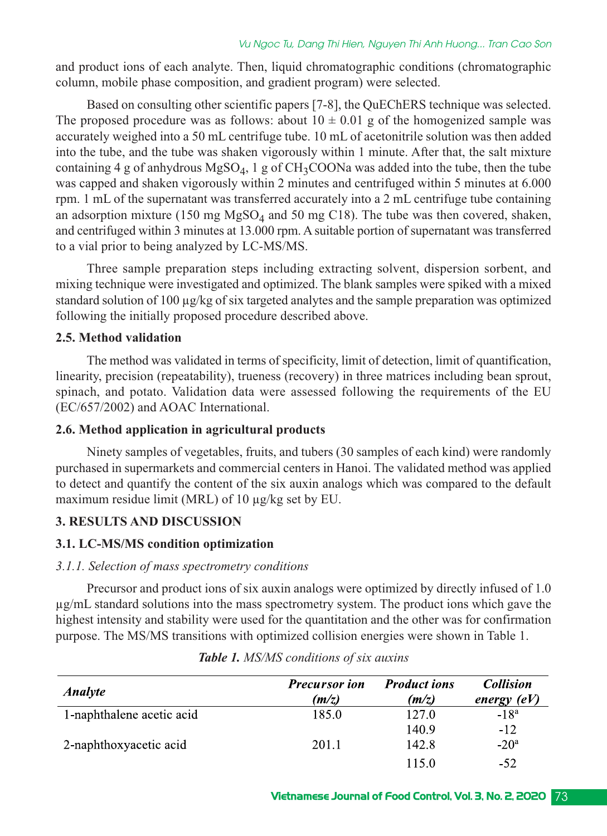and product ions of each analyte. Then, liquid chromatographic conditions (chromatographic column, mobile phase composition, and gradient program) were selected.

Based on consulting other scientific papers [7-8], the QuEChERS technique was selected. The proposed procedure was as follows: about  $10 \pm 0.01$  g of the homogenized sample was accurately weighed into a 50 mL centrifuge tube. 10 mL of acetonitrile solution was then added into the tube, and the tube was shaken vigorously within 1 minute. After that, the salt mixture containing 4 g of anhydrous  $MgSO_4$ , 1 g of  $CH_3COONa$  was added into the tube, then the tube was capped and shaken vigorously within 2 minutes and centrifuged within 5 minutes at 6.000 rpm. 1 mL of the supernatant was transferred accurately into a 2 mL centrifuge tube containing an adsorption mixture (150 mg  $MgSO<sub>4</sub>$  and 50 mg C18). The tube was then covered, shaken, and centrifuged within 3 minutes at 13.000 rpm. A suitable portion of supernatant was transferred to a vial prior to being analyzed by LC-MS/MS.

Three sample preparation steps including extracting solvent, dispersion sorbent, and mixing technique were investigated and optimized. The blank samples were spiked with a mixed standard solution of 100 µg/kg of six targeted analytes and the sample preparation was optimized following the initially proposed procedure described above.

# **2.5. Method validation**

The method was validated in terms of specificity, limit of detection, limit of quantification, linearity, precision (repeatability), trueness (recovery) in three matrices including bean sprout, spinach, and potato. Validation data were assessed following the requirements of the EU (EC/657/2002) and AOAC International.

# **2.6. Method application in agricultural products**

Ninety samples of vegetables, fruits, and tubers (30 samples of each kind) were randomly purchased in supermarkets and commercial centers in Hanoi. The validated method was applied to detect and quantify the content of the six auxin analogs which was compared to the default maximum residue limit (MRL) of 10  $\mu$ g/kg set by EU.

# **3. RESULTS AND DISCUSSION**

# **3.1. LC-MS/MS condition optimization**

# *3.1.1. Selection of mass spectrometry conditions*

Precursor and product ions of six auxin analogs were optimized by directly infused of 1.0 µg/mL standard solutions into the mass spectrometry system. The product ions which gave the highest intensity and stability were used for the quantitation and the other was for confirmation purpose. The MS/MS transitions with optimized collision energies were shown in Table 1.

| <i><b>Analyte</b></i>     | <b>Precursor</b> ion<br>(m/z) | <b>Product ions</b><br>(m/z) | <b>Collision</b><br>energy $(eV)$ |
|---------------------------|-------------------------------|------------------------------|-----------------------------------|
| 1-naphthalene acetic acid | 185.0                         | 127.0                        | $-18^a$                           |
|                           |                               | 140.9                        | $-12$                             |
| 2-naphthoxyacetic acid    | 201.1                         | 142.8                        | $-20a$                            |
|                           |                               |                              | -52                               |

| <b>Table 1.</b> MS/MS conditions of six auxins |  |  |  |  |  |
|------------------------------------------------|--|--|--|--|--|
|------------------------------------------------|--|--|--|--|--|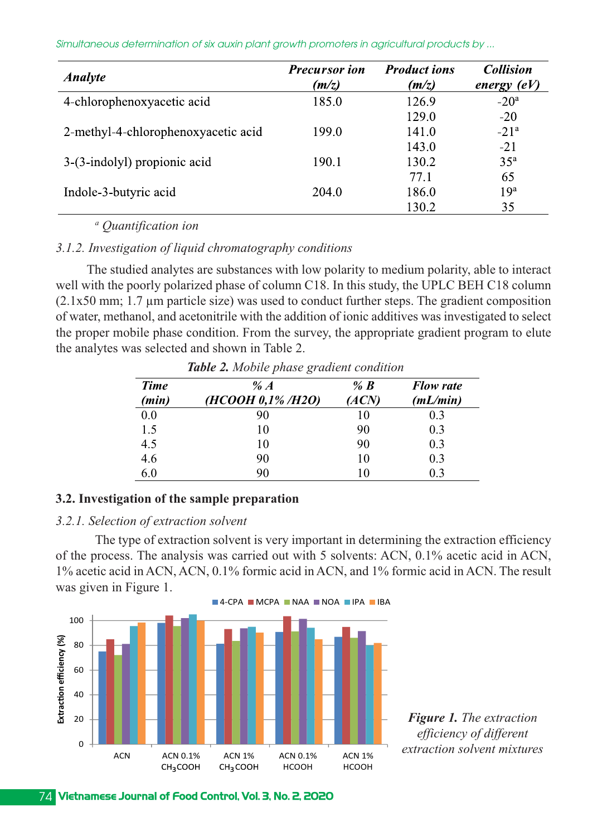*Simultaneous determination of six auxin plant growth promoters in agricultural products by ...*

| <b>Analyte</b>                      | <b>Precursor</b> ion<br>(m/z) | <b>Product ions</b><br>(m/z) | <b>Collision</b><br>energy $(eV)$ |
|-------------------------------------|-------------------------------|------------------------------|-----------------------------------|
| 4-chlorophenoxyacetic acid          | 185.0                         | 126.9                        | $-20a$                            |
|                                     |                               | 129.0                        | $-20$                             |
| 2-methyl-4-chlorophenoxyacetic acid | 199.0                         | 141.0                        | $-21a$                            |
|                                     |                               | 143.0                        | $-21$                             |
| 3-(3-indolyl) propionic acid        | 190.1                         | 130.2                        | $35^{\rm a}$                      |
|                                     |                               | 77.1                         | 65                                |
| Indole-3-butyric acid               | 204.0                         | 186.0                        | 19 <sup>a</sup>                   |
|                                     |                               | 130.2                        | 35                                |

*<sup>a</sup> Quantification ion* 

*3.1.2. Investigation of liquid chromatography conditions*

The studied analytes are substances with low polarity to medium polarity, able to interact well with the poorly polarized phase of column C18. In this study, the UPLC BEH C18 column  $(2.1x50 \text{ mm}; 1.7 \text{ }\mu\text{m}$  particle size) was used to conduct further steps. The gradient composition of water, methanol, and acetonitrile with the addition of ionic additives was investigated to select the proper mobile phase condition. From the survey, the appropriate gradient program to elute the analytes was selected and shown in Table 2.

| <b>Time</b> | % $\mathcal{A}$  | % $\bm{R}$ | <b>Flow rate</b> |  |  |
|-------------|------------------|------------|------------------|--|--|
| (min)       | (HCOOH 0,1%/H2O) | (ACN)      | (mL/min)         |  |  |
| 0.0         | 90               | 10         | 0.3              |  |  |
| 1.5         | 10               | 90         | 0.3              |  |  |
| 4.5         | 10               | 90         | 0.3              |  |  |
| 4.6         | 90               | 10         | 0.3              |  |  |
| 6.0         | 90               | 10         | 0.3              |  |  |

*Table 2. Mobile phase gradient condition*

# **3.2. Investigation of the sample preparation**

#### *3.2.1. Selection of extraction solvent*

The type of extraction solvent is very important in determining the extraction efficiency of the process. The analysis was carried out with 5 solvents: ACN, 0.1% acetic acid in ACN, 1% acetic acid in ACN, ACN, 0.1% formic acid in ACN, and 1% formic acid in ACN. The result was given in Figure 1.



*Figure 1. The extraction efficiency of different extraction solvent mixtures*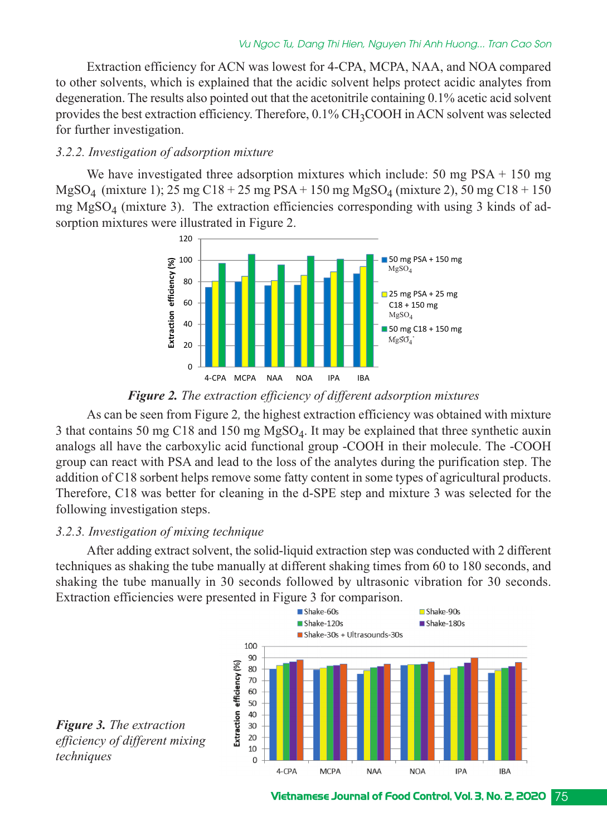Extraction efficiency for ACN was lowest for 4-CPA, MCPA, NAA, and NOA compared to other solvents, which is explained that the acidic solvent helps protect acidic analytes from degeneration. The results also pointed out that the acetonitrile containing 0.1% acetic acid solvent provides the best extraction efficiency. Therefore, 0.1% CH<sub>3</sub>COOH in ACN solvent was selected for further investigation.

#### *3.2.2. Investigation of adsorption mixture*

We have investigated three adsorption mixtures which include: 50 mg PSA + 150 mg  $MgSO<sub>4</sub>$  (mixture 1); 25 mg C18 + 25 mg PSA + 150 mg MgSO<sub>4</sub> (mixture 2), 50 mg C18 + 150 mg  $MgSO<sub>4</sub>$  (mixture 3). The extraction efficiencies corresponding with using 3 kinds of adsorption mixtures were illustrated in Figure 2.



# *Figure 2. The extraction efficiency of different adsorption mixtures*

As can be seen from Figure 2*,* the highest extraction efficiency was obtained with mixture 3 that contains 50 mg C18 and 150 mg  $MgSO<sub>4</sub>$ . It may be explained that three synthetic auxin analogs all have the carboxylic acid functional group -COOH in their molecule. The -COOH group can react with PSA and lead to the loss of the analytes during the purification step. The addition of C18 sorbent helps remove some fatty content in some types of agricultural products. Therefore, C18 was better for cleaning in the d-SPE step and mixture 3 was selected for the following investigation steps.

# *3.2.3. Investigation of mixing technique*

After adding extract solvent, the solid-liquid extraction step was conducted with 2 different techniques as shaking the tube manually at different shaking times from 60 to 180 seconds, and shaking the tube manually in 30 seconds followed by ultrasonic vibration for 30 seconds. Extraction efficiencies were presented in Figure 3 for comparison.



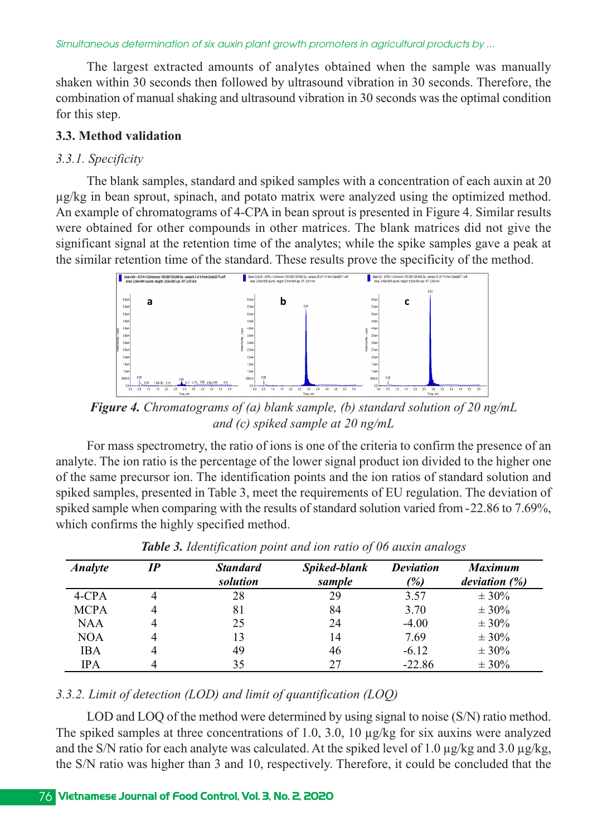*Simultaneous determination of six auxin plant growth promoters in agricultural products by ...*

The largest extracted amounts of analytes obtained when the sample was manually shaken within 30 seconds then followed by ultrasound vibration in 30 seconds. Therefore, the combination of manual shaking and ultrasound vibration in 30 seconds was the optimal condition for this step.

#### **3.3. Method validation**

#### *3.3.1. Specificity*

The blank samples, standard and spiked samples with a concentration of each auxin at 20 µg/kg in bean sprout, spinach, and potato matrix were analyzed using the optimized method. An example of chromatograms of 4-CPA in bean sprout is presented in Figure 4. Similar results were obtained for other compounds in other matrices. The blank matrices did not give the significant signal at the retention time of the analytes; while the spike samples gave a peak at the similar retention time of the standard. These results prove the specificity of the method.



*Figure 4. Chromatograms of (a) blank sample, (b) standard solution of 20 ng/mL and (c) spiked sample at 20 ng/mL*

For mass spectrometry, the ratio of ions is one of the criteria to confirm the presence of an analyte. The ion ratio is the percentage of the lower signal product ion divided to the higher one of the same precursor ion. The identification points and the ion ratios of standard solution and spiked samples, presented in Table 3, meet the requirements of EU regulation. The deviation of spiked sample when comparing with the results of standard solution varied from 22.86 to 7.69%, which confirms the highly specified method.

| <b>Analyte</b> | IP | <b>Standard</b><br>solution | Spiked-blank<br>sample | <b>Deviation</b><br>(%) | <b>Maximum</b><br>deviation $(\%)$ |
|----------------|----|-----------------------------|------------------------|-------------------------|------------------------------------|
| 4-CPA          | 4  | 28                          | 29                     | 3.57                    | $± 30\%$                           |
| <b>MCPA</b>    | 4  | 81                          | 84                     | 3.70                    | $\pm$ 30%                          |
| NAA            | 4  | 25                          | 24                     | $-4.00$                 | $\pm$ 30%                          |
| NOA            | 4  | 13                          | 14                     | 7.69                    | $\pm$ 30%                          |
| <b>IBA</b>     | 4  | 49                          | 46                     | $-6.12$                 | $\pm$ 30%                          |
| IPA            |    | 35                          | 27                     | $-22.86$                | $\pm$ 30%                          |

*Table 3. Identification point and ion ratio of 06 auxin analogs* 

#### *3.3.2. Limit of detection (LOD) and limit of quantification (LOQ)*

LOD and LOQ of the method were determined by using signal to noise (S/N) ratio method. The spiked samples at three concentrations of 1.0, 3.0, 10 µg/kg for six auxins were analyzed and the S/N ratio for each analyte was calculated. At the spiked level of 1.0  $\mu$ g/kg and 3.0  $\mu$ g/kg, the S/N ratio was higher than 3 and 10, respectively. Therefore, it could be concluded that the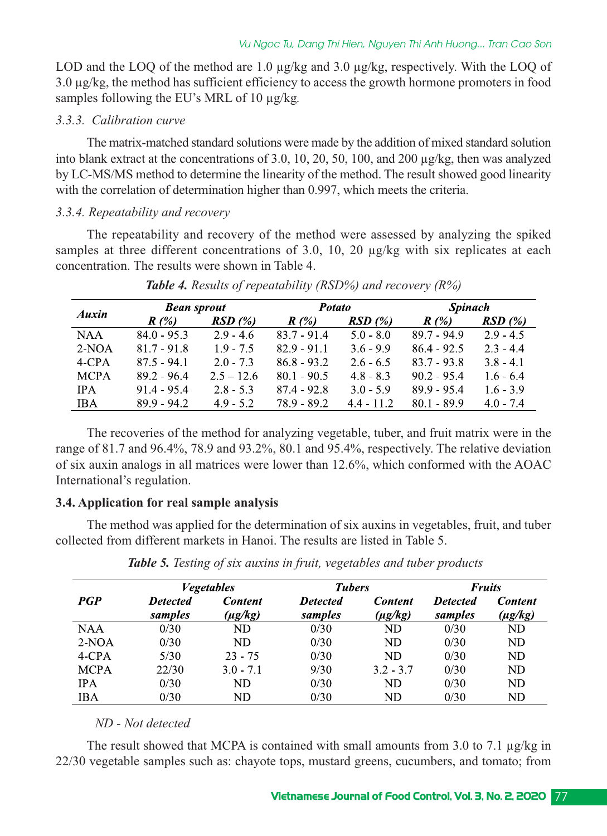LOD and the LOQ of the method are 1.0  $\mu$ g/kg and 3.0  $\mu$ g/kg, respectively. With the LOQ of 3.0 µg/kg, the method has sufficient efficiency to access the growth hormone promoters in food samples following the EU's MRL of 10 µg/kg*.* 

#### *3.3.3. Calibration curve*

The matrix-matched standard solutions were made by the addition of mixed standard solution into blank extract at the concentrations of 3.0, 10, 20, 50, 100, and 200 µg/kg, then was analyzed by LC-MS/MS method to determine the linearity of the method. The result showed good linearity with the correlation of determination higher than 0.997, which meets the criteria.

# *3.3.4. Repeatability and recovery*

The repeatability and recovery of the method were assessed by analyzing the spiked samples at three different concentrations of 3.0, 10, 20  $\mu$ g/kg with six replicates at each concentration. The results were shown in Table 4.

|            | <b>Bean sprout</b> |              | <b>Potato</b> |              | <b>Spinach</b> |             |
|------------|--------------------|--------------|---------------|--------------|----------------|-------------|
| Auxin      | $R(\%)$            | RSD(%)       | R(%)          | RSD(%)       | R(%)           | RSD(%)      |
| NAA        | $84.0 - 95.3$      | $2.9 - 4.6$  | $83.7 - 91.4$ | $5.0 - 8.0$  | $89.7 - 94.9$  | $2.9 - 4.5$ |
| $2-NOA$    | $81.7 - 91.8$      | $1.9 - 7.5$  | $82.9 - 91.1$ | $3.6 - 9.9$  | $86.4 - 92.5$  | $2.3 - 4.4$ |
| 4-CPA      | $87.5 - 94.1$      | $2.0 - 7.3$  | $86.8 - 93.2$ | $2.6 - 6.5$  | $83.7 - 93.8$  | $3.8 - 4.1$ |
| MCPA       | $89.2 - 96.4$      | $2.5 - 12.6$ | $80.1 - 90.5$ | $4.8 - 8.3$  | $90.2 - 95.4$  | $1.6 - 6.4$ |
| IPA.       | $91.4 - 95.4$      | $2.8 - 5.3$  | 87.4 - 92.8   | $3.0 - 5.9$  | 89.9 - 95.4    | $1.6 - 3.9$ |
| <b>IBA</b> | $89.9 - 94.2$      | $4.9 - 5.2$  | $78.9 - 89.2$ | $4.4 - 11.2$ | $80.1 - 89.9$  | $4.0 - 7.4$ |

*Table 4. Results of repeatability (RSD%) and recovery (R%)*

The recoveries of the method for analyzing vegetable, tuber, and fruit matrix were in the range of 81.7 and 96.4%, 78.9 and 93.2%, 80.1 and 95.4%, respectively. The relative deviation of six auxin analogs in all matrices were lower than 12.6%, which conformed with the AOAC International's regulation.

# **3.4. Application for real sample analysis**

The method was applied for the determination of six auxins in vegetables, fruit, and tuber collected from different markets in Hanoi. The results are listed in Table 5.

|             | <b>Vegetables</b> |                | <b>Tubers</b>   |                | <b>Fruits</b>   |                |
|-------------|-------------------|----------------|-----------------|----------------|-----------------|----------------|
| <b>PGP</b>  | <b>Detected</b>   | <b>Content</b> | <b>Detected</b> | <b>Content</b> | <b>Detected</b> | <b>Content</b> |
|             | samples           | (µg/kg)        | samples         | (µg/kg)        | samples         | (µg/kg)        |
| <b>NAA</b>  | 0/30              | ND             | 0/30            | ND             | 0/30            | ND             |
| $2-NOA$     | 0/30              | ND             | 0/30            | ND             | 0/30            | ND             |
| $4$ -CPA    | 5/30              | $23 - 75$      | 0/30            | ND             | 0/30            | ND             |
| <b>MCPA</b> | 22/30             | $3.0 - 7.1$    | 9/30            | $3.2 - 3.7$    | 0/30            | ND             |
| <b>IPA</b>  | 0/30              | ND             | 0/30            | ND             | 0/30            | ND             |
| <b>IBA</b>  | 0/30              | ND             | 0/30            | ND             | 0/30            | ND             |

*Table 5. Testing of six auxins in fruit, vegetables and tuber products*

# *ND Not detected*

The result showed that MCPA is contained with small amounts from 3.0 to 7.1  $\mu$ g/kg in 22/30 vegetable samples such as: chayote tops, mustard greens, cucumbers, and tomato; from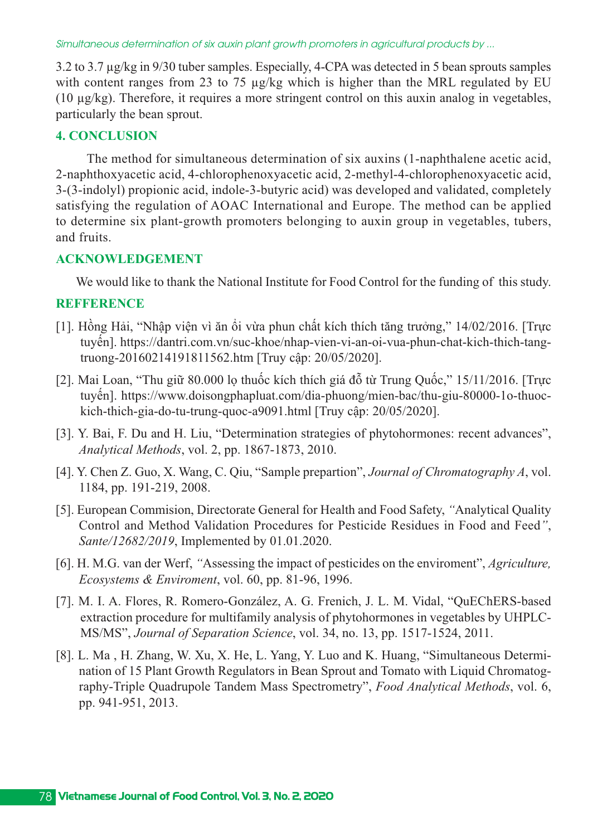3.2 to 3.7 µg/kg in 9/30 tuber samples. Especially, 4-CPA was detected in 5 bean sprouts samples with content ranges from 23 to 75 µg/kg which is higher than the MRL regulated by EU (10 µg/kg). Therefore, it requires a more stringent control on this auxin analog in vegetables, particularly the bean sprout.

#### **4. CONCLUSION**

The method for simultaneous determination of six auxins (1-naphthalene acetic acid, 2-naphthoxyacetic acid, 4-chlorophenoxyacetic acid, 2-methyl-4-chlorophenoxyacetic acid, 3-(3-indolyl) propionic acid, indole-3-butyric acid) was developed and validated, completely satisfying the regulation of AOAC International and Europe. The method can be applied to determine six plant-growth promoters belonging to auxin group in vegetables, tubers, and fruits.

#### **ACKNOWLEDGEMENT**

We would like to thank the National Institute for Food Control for the funding of this study.

#### **REFFERENCE**

- [1]. Hồng Hải, "Nhập viện vì ăn ổi vừa phun chất kích thích tăng trưởng," 14/02/2016. [Trực tuyến]. https://dantri.com.vn/suc-khoe/nhap-vien-vi-an-oi-vua-phun-chat-kich-thich-tangtruong20160214191811562.htm [Truy cập: 20/05/2020].
- [2]. Mai Loan, "Thu giữ 80.000 lọ thuốc kích thích giá đỗ từ Trung Quốc," 15/11/2016. [Trực tuyến]. https://www.doisongphapluat.com/dia-phuong/mien-bac/thu-giu-80000-1o-thuockich-thich-gia-do-tu-trung-quoc-a9091.html [Truy cập: 20/05/2020].
- [3]. Y. Bai, F. Du and H. Liu, "Determination strategies of phytohormones: recent advances", *Analytical Methods*, vol. 2, pp. 1867-1873, 2010.
- [4]. Y. Chen Z. Guo, X. Wang, C. Qiu, "Sample prepartion", *Journal of Chromatography A*, vol. 1184, pp. 191-219, 2008.
- [5]. European Commision, Directorate General for Health and Food Safety, *"*Analytical Quality Control and Method Validation Procedures for Pesticide Residues in Food and Feed*"*, *Sante/12682/2019*, Implemented by 01.01.2020.
- [6]. H. M.G. van der Werf, *"*Assessing the impact of pesticides on the enviroment", *Agriculture, Ecosystems & Enviroment*, vol. 60, pp. 81-96, 1996.
- [7]. M. I. A. Flores, R. Romero-González, A. G. Frenich, J. L. M. Vidal, "QuEChERS-based extraction procedure for multifamily analysis of phytohormones in vegetables by UHPLC-MS/MS", *Journal of Separation Science*, vol. 34, no. 13, pp. 1517-1524, 2011.
- [8]. L. Ma , H. Zhang, W. Xu, X. He, L. Yang, Y. Luo and K. Huang, "Simultaneous Determination of 15 Plant Growth Regulators in Bean Sprout and Tomato with Liquid Chromatography-Triple Quadrupole Tandem Mass Spectrometry", *Food Analytical Methods*, vol. 6, pp. 941-951, 2013.